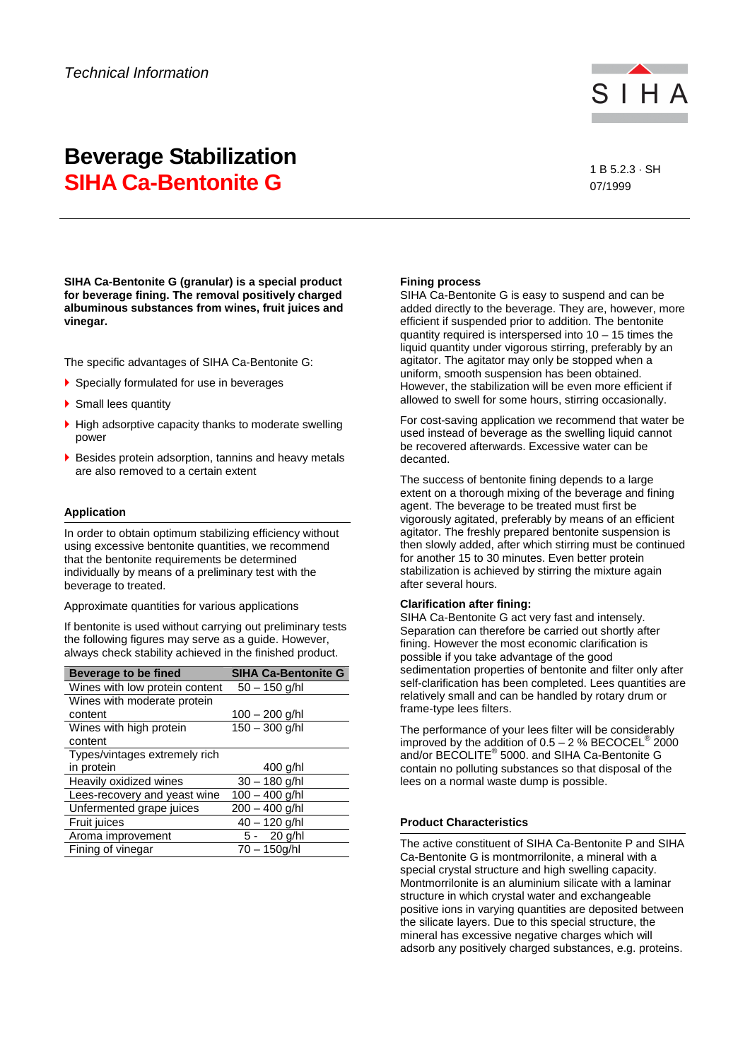

# **Beverage Stabilization SIHA Ca-Bentonite G 185.2.3 · SH**

07/1999

**SIHA Ca-Bentonite G (granular) is a special product for beverage fining. The removal positively charged albuminous substances from wines, fruit juices and vinegar.** 

The specific advantages of SIHA Ca-Bentonite G:

- Specially formulated for use in beverages
- ▶ Small lees quantity
- $\blacktriangleright$  High adsorptive capacity thanks to moderate swelling power
- Besides protein adsorption, tannins and heavy metals are also removed to a certain extent

## **Application**

In order to obtain optimum stabilizing efficiency without using excessive bentonite quantities, we recommend that the bentonite requirements be determined individually by means of a preliminary test with the beverage to treated.

Approximate quantities for various applications

If bentonite is used without carrying out preliminary tests the following figures may serve as a guide. However, always check stability achieved in the finished product.

| <b>Beverage to be fined</b>    | <b>SIHA Ca-Bentonite G</b> |
|--------------------------------|----------------------------|
| Wines with low protein content | $50 - 150$ g/hl            |
| Wines with moderate protein    |                            |
| content                        | $100 - 200$ g/hl           |
| Wines with high protein        | $150 - 300$ g/hl           |
| content                        |                            |
| Types/vintages extremely rich  |                            |
| in protein                     | 400 g/hl                   |
| Heavily oxidized wines         | $30 - 180$ g/hl            |
| Lees-recovery and yeast wine   | $100 - 400$ g/hl           |
| Unfermented grape juices       | 200 - 400 g/hl             |
| Fruit juices                   | 40 - 120 g/hl              |
| Aroma improvement              | $5 - 20$ g/hl              |
| Fining of vinegar              | $70 - 150q/hl$             |

## **Fining process**

SIHA Ca-Bentonite G is easy to suspend and can be added directly to the beverage. They are, however, more efficient if suspended prior to addition. The bentonite quantity required is interspersed into 10 – 15 times the liquid quantity under vigorous stirring, preferably by an agitator. The agitator may only be stopped when a uniform, smooth suspension has been obtained. However, the stabilization will be even more efficient if allowed to swell for some hours, stirring occasionally.

For cost-saving application we recommend that water be used instead of beverage as the swelling liquid cannot be recovered afterwards. Excessive water can be decanted.

The success of bentonite fining depends to a large extent on a thorough mixing of the beverage and fining agent. The beverage to be treated must first be vigorously agitated, preferably by means of an efficient agitator. The freshly prepared bentonite suspension is then slowly added, after which stirring must be continued for another 15 to 30 minutes. Even better protein stabilization is achieved by stirring the mixture again after several hours.

## **Clarification after fining:**

SIHA Ca-Bentonite G act very fast and intensely. Separation can therefore be carried out shortly after fining. However the most economic clarification is possible if you take advantage of the good sedimentation properties of bentonite and filter only after self-clarification has been completed. Lees quantities are relatively small and can be handled by rotary drum or frame-type lees filters.

The performance of your lees filter will be considerably improved by the addition of  $0.5 - 2$  % BECOCEL<sup>®</sup> 2000 and/or BECOLITE® 5000. and SIHA Ca-Bentonite G contain no polluting substances so that disposal of the lees on a normal waste dump is possible.

# **Product Characteristics**

The active constituent of SIHA Ca-Bentonite P and SIHA Ca-Bentonite G is montmorrilonite, a mineral with a special crystal structure and high swelling capacity. Montmorrilonite is an aluminium silicate with a laminar structure in which crystal water and exchangeable positive ions in varying quantities are deposited between the silicate layers. Due to this special structure, the mineral has excessive negative charges which will adsorb any positively charged substances, e.g. proteins.